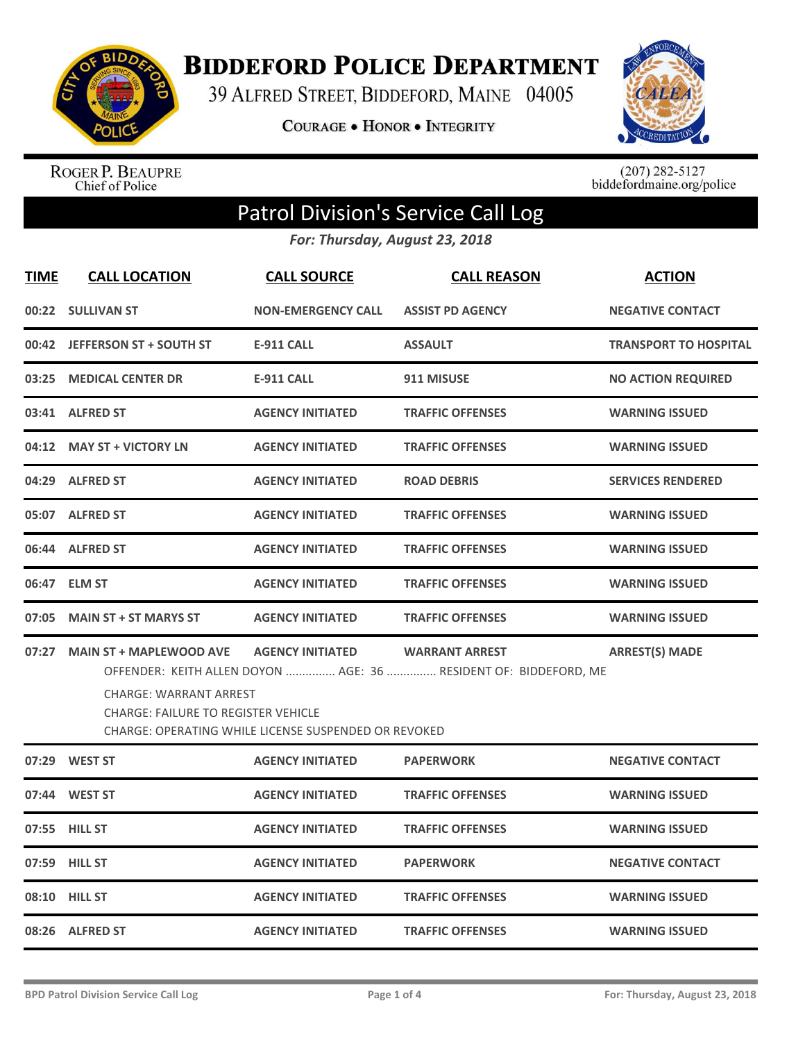

**BIDDEFORD POLICE DEPARTMENT** 

39 ALFRED STREET, BIDDEFORD, MAINE 04005

COURAGE . HONOR . INTEGRITY



ROGER P. BEAUPRE<br>Chief of Police

 $(207)$  282-5127<br>biddefordmaine.org/police

## Patrol Division's Service Call Log

*For: Thursday, August 23, 2018*

| <b>TIME</b> | <b>CALL LOCATION</b>                                                                                                                                                                                                                                                                                        | <b>CALL SOURCE</b>        | <b>CALL REASON</b>      | <b>ACTION</b>                |  |
|-------------|-------------------------------------------------------------------------------------------------------------------------------------------------------------------------------------------------------------------------------------------------------------------------------------------------------------|---------------------------|-------------------------|------------------------------|--|
|             | 00:22 SULLIVAN ST                                                                                                                                                                                                                                                                                           | <b>NON-EMERGENCY CALL</b> | <b>ASSIST PD AGENCY</b> | <b>NEGATIVE CONTACT</b>      |  |
|             | 00:42 JEFFERSON ST + SOUTH ST                                                                                                                                                                                                                                                                               | <b>E-911 CALL</b>         | <b>ASSAULT</b>          | <b>TRANSPORT TO HOSPITAL</b> |  |
|             | 03:25 MEDICAL CENTER DR                                                                                                                                                                                                                                                                                     | <b>E-911 CALL</b>         | 911 MISUSE              | <b>NO ACTION REQUIRED</b>    |  |
|             | 03:41 ALFRED ST                                                                                                                                                                                                                                                                                             | <b>AGENCY INITIATED</b>   | <b>TRAFFIC OFFENSES</b> | <b>WARNING ISSUED</b>        |  |
|             | 04:12 MAY ST + VICTORY LN                                                                                                                                                                                                                                                                                   | <b>AGENCY INITIATED</b>   | <b>TRAFFIC OFFENSES</b> | <b>WARNING ISSUED</b>        |  |
|             | 04:29 ALFRED ST                                                                                                                                                                                                                                                                                             | <b>AGENCY INITIATED</b>   | <b>ROAD DEBRIS</b>      | <b>SERVICES RENDERED</b>     |  |
|             | 05:07 ALFRED ST                                                                                                                                                                                                                                                                                             | <b>AGENCY INITIATED</b>   | <b>TRAFFIC OFFENSES</b> | <b>WARNING ISSUED</b>        |  |
|             | 06:44 ALFRED ST                                                                                                                                                                                                                                                                                             | <b>AGENCY INITIATED</b>   | <b>TRAFFIC OFFENSES</b> | <b>WARNING ISSUED</b>        |  |
|             | 06:47 ELM ST                                                                                                                                                                                                                                                                                                | <b>AGENCY INITIATED</b>   | <b>TRAFFIC OFFENSES</b> | <b>WARNING ISSUED</b>        |  |
|             | 07:05 MAIN ST + ST MARYS ST                                                                                                                                                                                                                                                                                 | <b>AGENCY INITIATED</b>   | <b>TRAFFIC OFFENSES</b> | <b>WARNING ISSUED</b>        |  |
|             | 07:27 MAIN ST + MAPLEWOOD AVE AGENCY INITIATED<br><b>ARREST(S) MADE</b><br><b>WARRANT ARREST</b><br>OFFENDER: KEITH ALLEN DOYON  AGE: 36  RESIDENT OF: BIDDEFORD, ME<br><b>CHARGE: WARRANT ARREST</b><br>CHARGE: FAILURE TO REGISTER VEHICLE<br><b>CHARGE: OPERATING WHILE LICENSE SUSPENDED OR REVOKED</b> |                           |                         |                              |  |
|             | 07:29 WEST ST                                                                                                                                                                                                                                                                                               | <b>AGENCY INITIATED</b>   | <b>PAPERWORK</b>        | <b>NEGATIVE CONTACT</b>      |  |
|             | 07:44 WEST ST                                                                                                                                                                                                                                                                                               | <b>AGENCY INITIATED</b>   | <b>TRAFFIC OFFENSES</b> | <b>WARNING ISSUED</b>        |  |
|             | 07:55 HILL ST                                                                                                                                                                                                                                                                                               | <b>AGENCY INITIATED</b>   | <b>TRAFFIC OFFENSES</b> | <b>WARNING ISSUED</b>        |  |
|             | 07:59 HILL ST                                                                                                                                                                                                                                                                                               | <b>AGENCY INITIATED</b>   | <b>PAPERWORK</b>        | <b>NEGATIVE CONTACT</b>      |  |
|             | 08:10 HILL ST                                                                                                                                                                                                                                                                                               | <b>AGENCY INITIATED</b>   | <b>TRAFFIC OFFENSES</b> | <b>WARNING ISSUED</b>        |  |
|             | 08:26 ALFRED ST                                                                                                                                                                                                                                                                                             | <b>AGENCY INITIATED</b>   | <b>TRAFFIC OFFENSES</b> | <b>WARNING ISSUED</b>        |  |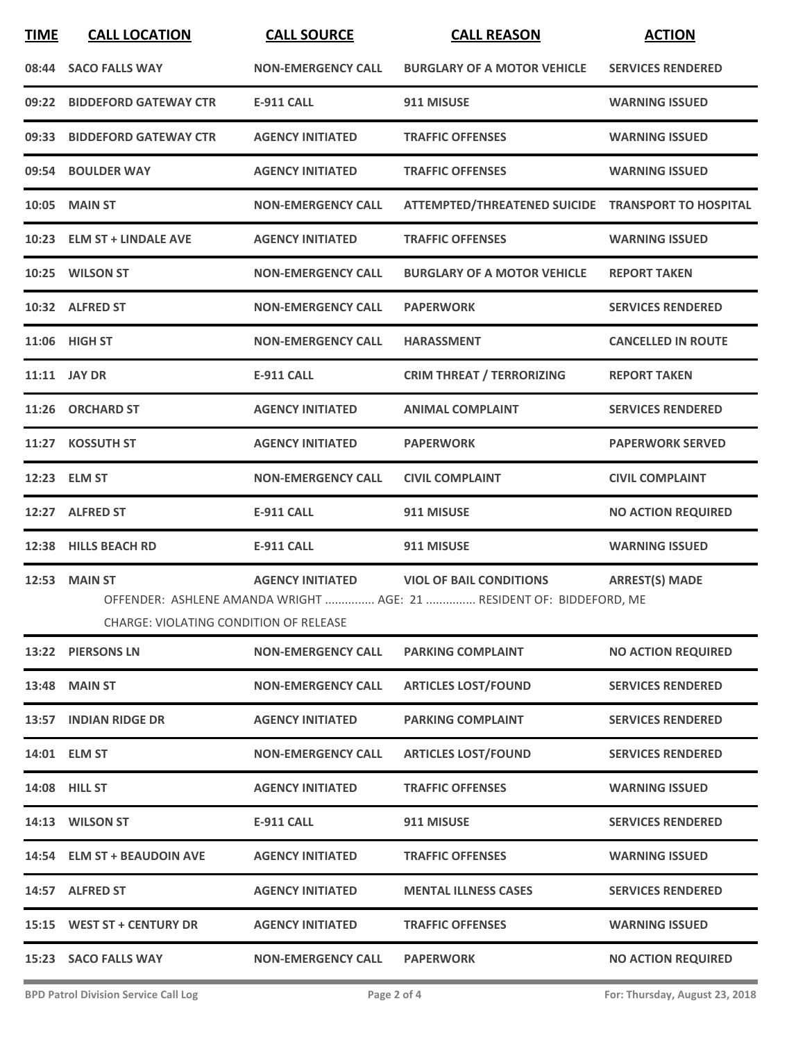| <b>TIME</b> | <b>CALL LOCATION</b>                                                  | <b>CALL SOURCE</b>        | <b>CALL REASON</b>                                                                                     | <b>ACTION</b>             |
|-------------|-----------------------------------------------------------------------|---------------------------|--------------------------------------------------------------------------------------------------------|---------------------------|
|             | 08:44 SACO FALLS WAY                                                  | <b>NON-EMERGENCY CALL</b> | <b>BURGLARY OF A MOTOR VEHICLE</b>                                                                     | <b>SERVICES RENDERED</b>  |
|             | 09:22 BIDDEFORD GATEWAY CTR                                           | <b>E-911 CALL</b>         | 911 MISUSE                                                                                             | <b>WARNING ISSUED</b>     |
|             | 09:33 BIDDEFORD GATEWAY CTR                                           | <b>AGENCY INITIATED</b>   | <b>TRAFFIC OFFENSES</b>                                                                                | <b>WARNING ISSUED</b>     |
|             | 09:54 BOULDER WAY                                                     | <b>AGENCY INITIATED</b>   | <b>TRAFFIC OFFENSES</b>                                                                                | <b>WARNING ISSUED</b>     |
|             | 10:05 MAIN ST                                                         | <b>NON-EMERGENCY CALL</b> | ATTEMPTED/THREATENED SUICIDE TRANSPORT TO HOSPITAL                                                     |                           |
|             | 10:23 ELM ST + LINDALE AVE                                            | <b>AGENCY INITIATED</b>   | <b>TRAFFIC OFFENSES</b>                                                                                | <b>WARNING ISSUED</b>     |
|             | 10:25 WILSON ST                                                       | <b>NON-EMERGENCY CALL</b> | <b>BURGLARY OF A MOTOR VEHICLE</b>                                                                     | <b>REPORT TAKEN</b>       |
|             | 10:32 ALFRED ST                                                       | <b>NON-EMERGENCY CALL</b> | <b>PAPERWORK</b>                                                                                       | <b>SERVICES RENDERED</b>  |
|             | 11:06 HIGH ST                                                         | <b>NON-EMERGENCY CALL</b> | <b>HARASSMENT</b>                                                                                      | <b>CANCELLED IN ROUTE</b> |
|             | 11:11 JAY DR                                                          | <b>E-911 CALL</b>         | <b>CRIM THREAT / TERRORIZING</b>                                                                       | <b>REPORT TAKEN</b>       |
|             | 11:26 ORCHARD ST                                                      | <b>AGENCY INITIATED</b>   | <b>ANIMAL COMPLAINT</b>                                                                                | <b>SERVICES RENDERED</b>  |
|             | 11:27 KOSSUTH ST                                                      | <b>AGENCY INITIATED</b>   | <b>PAPERWORK</b>                                                                                       | <b>PAPERWORK SERVED</b>   |
|             | 12:23 ELM ST                                                          | <b>NON-EMERGENCY CALL</b> | <b>CIVIL COMPLAINT</b>                                                                                 | <b>CIVIL COMPLAINT</b>    |
|             | 12:27 ALFRED ST                                                       | <b>E-911 CALL</b>         | 911 MISUSE                                                                                             | <b>NO ACTION REQUIRED</b> |
|             | 12:38 HILLS BEACH RD                                                  | <b>E-911 CALL</b>         | 911 MISUSE                                                                                             | <b>WARNING ISSUED</b>     |
|             | <b>12:53 MAIN ST</b><br><b>CHARGE: VIOLATING CONDITION OF RELEASE</b> | <b>AGENCY INITIATED</b>   | <b>VIOL OF BAIL CONDITIONS</b><br>OFFENDER: ASHLENE AMANDA WRIGHT  AGE: 21  RESIDENT OF: BIDDEFORD, ME | <b>ARREST(S) MADE</b>     |
|             | 13:22 PIERSONS LN                                                     | <b>NON-EMERGENCY CALL</b> | <b>PARKING COMPLAINT</b>                                                                               | <b>NO ACTION REQUIRED</b> |
|             | <b>13:48 MAIN ST</b>                                                  | <b>NON-EMERGENCY CALL</b> | <b>ARTICLES LOST/FOUND</b>                                                                             | <b>SERVICES RENDERED</b>  |
|             | 13:57 INDIAN RIDGE DR                                                 | <b>AGENCY INITIATED</b>   | <b>PARKING COMPLAINT</b>                                                                               | <b>SERVICES RENDERED</b>  |
|             | 14:01 ELM ST                                                          | <b>NON-EMERGENCY CALL</b> | <b>ARTICLES LOST/FOUND</b>                                                                             | <b>SERVICES RENDERED</b>  |
|             | <b>14:08 HILL ST</b>                                                  | <b>AGENCY INITIATED</b>   | <b>TRAFFIC OFFENSES</b>                                                                                | <b>WARNING ISSUED</b>     |
|             | 14:13 WILSON ST                                                       | <b>E-911 CALL</b>         | 911 MISUSE                                                                                             | <b>SERVICES RENDERED</b>  |
|             | 14:54 ELM ST + BEAUDOIN AVE                                           | <b>AGENCY INITIATED</b>   | <b>TRAFFIC OFFENSES</b>                                                                                | <b>WARNING ISSUED</b>     |
|             | 14:57 ALFRED ST                                                       | <b>AGENCY INITIATED</b>   | <b>MENTAL ILLNESS CASES</b>                                                                            | <b>SERVICES RENDERED</b>  |
|             | 15:15 WEST ST + CENTURY DR                                            | <b>AGENCY INITIATED</b>   | <b>TRAFFIC OFFENSES</b>                                                                                | <b>WARNING ISSUED</b>     |
|             | 15:23 SACO FALLS WAY                                                  | <b>NON-EMERGENCY CALL</b> | <b>PAPERWORK</b>                                                                                       | <b>NO ACTION REQUIRED</b> |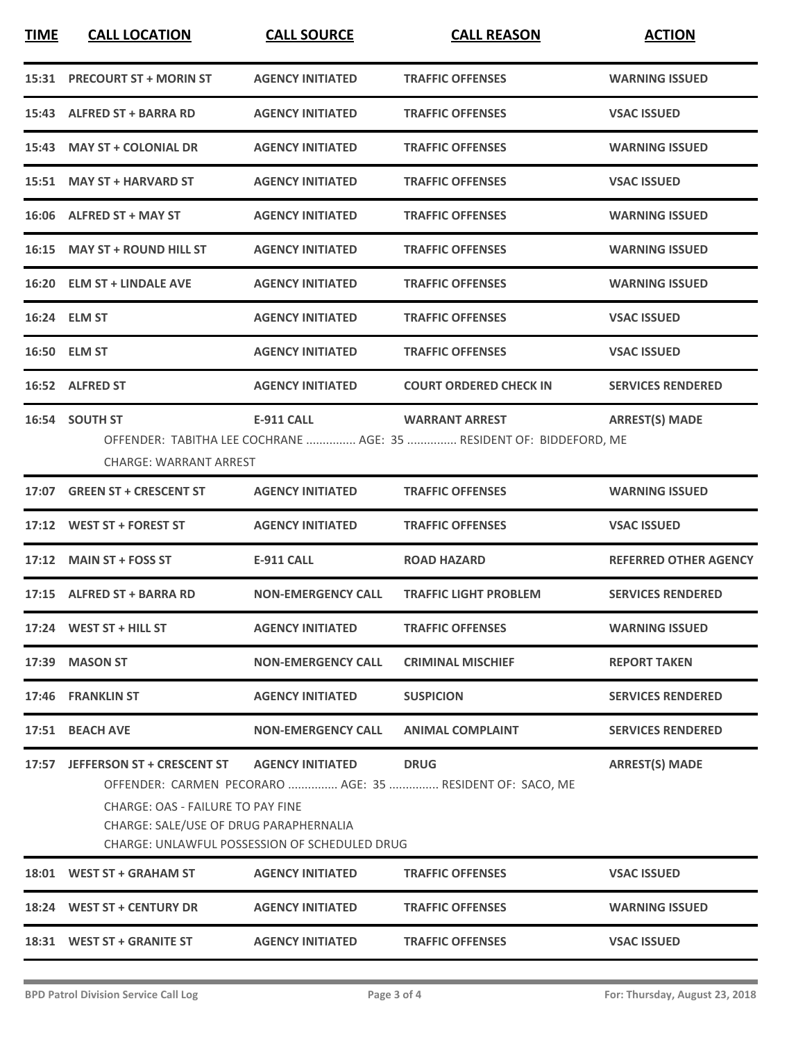| <b>TIME</b> | <b>CALL LOCATION</b>                                                                                            | <b>CALL SOURCE</b>                                                              | <b>CALL REASON</b>                                                                           | <b>ACTION</b>                |
|-------------|-----------------------------------------------------------------------------------------------------------------|---------------------------------------------------------------------------------|----------------------------------------------------------------------------------------------|------------------------------|
|             | 15:31 PRECOURT ST + MORIN ST                                                                                    | <b>AGENCY INITIATED</b>                                                         | <b>TRAFFIC OFFENSES</b>                                                                      | <b>WARNING ISSUED</b>        |
|             | 15:43 ALFRED ST + BARRA RD                                                                                      | <b>AGENCY INITIATED</b>                                                         | <b>TRAFFIC OFFENSES</b>                                                                      | <b>VSAC ISSUED</b>           |
|             | 15:43 MAY ST + COLONIAL DR                                                                                      | <b>AGENCY INITIATED</b>                                                         | <b>TRAFFIC OFFENSES</b>                                                                      | <b>WARNING ISSUED</b>        |
|             | 15:51 MAY ST + HARVARD ST                                                                                       | <b>AGENCY INITIATED</b>                                                         | <b>TRAFFIC OFFENSES</b>                                                                      | <b>VSAC ISSUED</b>           |
|             | 16:06 ALFRED ST + MAY ST                                                                                        | <b>AGENCY INITIATED</b>                                                         | <b>TRAFFIC OFFENSES</b>                                                                      | <b>WARNING ISSUED</b>        |
|             | 16:15 MAY ST + ROUND HILL ST                                                                                    | <b>AGENCY INITIATED</b>                                                         | <b>TRAFFIC OFFENSES</b>                                                                      | <b>WARNING ISSUED</b>        |
|             | 16:20 ELM ST + LINDALE AVE                                                                                      | <b>AGENCY INITIATED</b>                                                         | <b>TRAFFIC OFFENSES</b>                                                                      | <b>WARNING ISSUED</b>        |
|             | 16:24 ELM ST                                                                                                    | <b>AGENCY INITIATED</b>                                                         | <b>TRAFFIC OFFENSES</b>                                                                      | <b>VSAC ISSUED</b>           |
|             | 16:50 ELM ST                                                                                                    | <b>AGENCY INITIATED</b>                                                         | <b>TRAFFIC OFFENSES</b>                                                                      | <b>VSAC ISSUED</b>           |
|             | 16:52 ALFRED ST                                                                                                 | <b>AGENCY INITIATED</b>                                                         | <b>COURT ORDERED CHECK IN</b>                                                                | <b>SERVICES RENDERED</b>     |
|             | 16:54 SOUTH ST<br><b>CHARGE: WARRANT ARREST</b>                                                                 | <b>E-911 CALL</b>                                                               | <b>WARRANT ARREST</b><br>OFFENDER: TABITHA LEE COCHRANE  AGE: 35  RESIDENT OF: BIDDEFORD, ME | <b>ARREST(S) MADE</b>        |
|             | 17:07 GREEN ST + CRESCENT ST                                                                                    | <b>AGENCY INITIATED</b>                                                         | <b>TRAFFIC OFFENSES</b>                                                                      | <b>WARNING ISSUED</b>        |
|             | 17:12 WEST ST + FOREST ST                                                                                       | <b>AGENCY INITIATED</b>                                                         | <b>TRAFFIC OFFENSES</b>                                                                      | <b>VSAC ISSUED</b>           |
|             | 17:12 MAIN ST + FOSS ST                                                                                         | <b>E-911 CALL</b>                                                               | <b>ROAD HAZARD</b>                                                                           | <b>REFERRED OTHER AGENCY</b> |
|             | 17:15 ALFRED ST + BARRA RD                                                                                      | <b>NON-EMERGENCY CALL</b>                                                       | <b>TRAFFIC LIGHT PROBLEM</b>                                                                 | <b>SERVICES RENDERED</b>     |
|             | 17:24 WEST ST + HILL ST                                                                                         | <b>AGENCY INITIATED</b>                                                         | <b>TRAFFIC OFFENSES</b>                                                                      | <b>WARNING ISSUED</b>        |
|             | 17:39 MASON ST                                                                                                  | <b>NON-EMERGENCY CALL</b>                                                       | <b>CRIMINAL MISCHIEF</b>                                                                     | <b>REPORT TAKEN</b>          |
|             | 17:46 FRANKLIN ST                                                                                               | <b>AGENCY INITIATED</b>                                                         | <b>SUSPICION</b>                                                                             | <b>SERVICES RENDERED</b>     |
|             | 17:51 BEACH AVE                                                                                                 | <b>NON-EMERGENCY CALL</b>                                                       | <b>ANIMAL COMPLAINT</b>                                                                      | <b>SERVICES RENDERED</b>     |
|             | 17:57 JEFFERSON ST + CRESCENT ST<br>CHARGE: OAS - FAILURE TO PAY FINE<br>CHARGE: SALE/USE OF DRUG PARAPHERNALIA | <b>AGENCY INITIATED</b><br><b>CHARGE: UNLAWFUL POSSESSION OF SCHEDULED DRUG</b> | <b>DRUG</b><br>OFFENDER: CARMEN PECORARO  AGE: 35  RESIDENT OF: SACO, ME                     | <b>ARREST(S) MADE</b>        |
|             | 18:01 WEST ST + GRAHAM ST                                                                                       | <b>AGENCY INITIATED</b>                                                         | <b>TRAFFIC OFFENSES</b>                                                                      | <b>VSAC ISSUED</b>           |
|             | 18:24 WEST ST + CENTURY DR                                                                                      | <b>AGENCY INITIATED</b>                                                         | <b>TRAFFIC OFFENSES</b>                                                                      | <b>WARNING ISSUED</b>        |
|             | 18:31 WEST ST + GRANITE ST                                                                                      | <b>AGENCY INITIATED</b>                                                         | <b>TRAFFIC OFFENSES</b>                                                                      | <b>VSAC ISSUED</b>           |